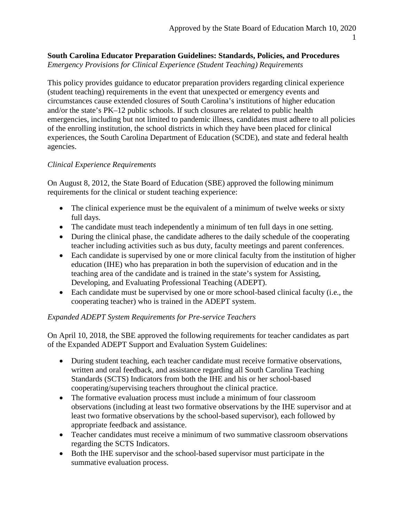## **South Carolina Educator Preparation Guidelines: Standards, Policies, and Procedures** *Emergency Provisions for Clinical Experience (Student Teaching) Requirements*

This policy provides guidance to educator preparation providers regarding clinical experience (student teaching) requirements in the event that unexpected or emergency events and circumstances cause extended closures of South Carolina's institutions of higher education and/or the state's PK–12 public schools. If such closures are related to public health emergencies, including but not limited to pandemic illness, candidates must adhere to all policies of the enrolling institution, the school districts in which they have been placed for clinical experiences, the South Carolina Department of Education (SCDE), and state and federal health agencies.

## *Clinical Experience Requirements*

On August 8, 2012, the State Board of Education (SBE) approved the following minimum requirements for the clinical or student teaching experience:

- The clinical experience must be the equivalent of a minimum of twelve weeks or sixty full days.
- The candidate must teach independently a minimum of ten full days in one setting.
- During the clinical phase, the candidate adheres to the daily schedule of the cooperating teacher including activities such as bus duty, faculty meetings and parent conferences.
- Each candidate is supervised by one or more clinical faculty from the institution of higher education (IHE) who has preparation in both the supervision of education and in the teaching area of the candidate and is trained in the state's system for Assisting, Developing, and Evaluating Professional Teaching (ADEPT).
- Each candidate must be supervised by one or more school-based clinical faculty (i.e., the cooperating teacher) who is trained in the ADEPT system.

## *Expanded ADEPT System Requirements for Pre-service Teachers*

On April 10, 2018, the SBE approved the following requirements for teacher candidates as part of the Expanded ADEPT Support and Evaluation System Guidelines:

- During student teaching, each teacher candidate must receive formative observations, written and oral feedback, and assistance regarding all South Carolina Teaching Standards (SCTS) Indicators from both the IHE and his or her school-based cooperating/supervising teachers throughout the clinical practice.
- The formative evaluation process must include a minimum of four classroom observations (including at least two formative observations by the IHE supervisor and at least two formative observations by the school-based supervisor), each followed by appropriate feedback and assistance.
- Teacher candidates must receive a minimum of two summative classroom observations regarding the SCTS Indicators.
- Both the IHE supervisor and the school-based supervisor must participate in the summative evaluation process.

1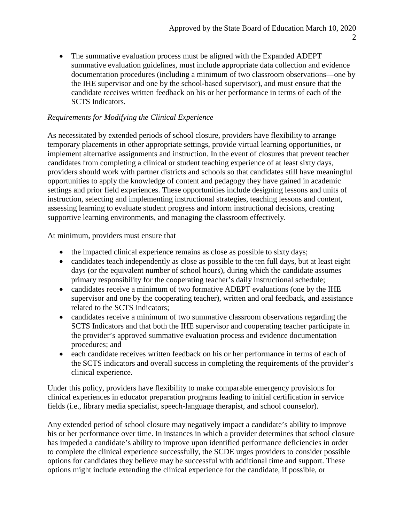• The summative evaluation process must be aligned with the Expanded ADEPT summative evaluation guidelines, must include appropriate data collection and evidence documentation procedures (including a minimum of two classroom observations—one by the IHE supervisor and one by the school-based supervisor), and must ensure that the candidate receives written feedback on his or her performance in terms of each of the SCTS Indicators.

## *Requirements for Modifying the Clinical Experience*

As necessitated by extended periods of school closure, providers have flexibility to arrange temporary placements in other appropriate settings, provide virtual learning opportunities, or implement alternative assignments and instruction. In the event of closures that prevent teacher candidates from completing a clinical or student teaching experience of at least sixty days, providers should work with partner districts and schools so that candidates still have meaningful opportunities to apply the knowledge of content and pedagogy they have gained in academic settings and prior field experiences. These opportunities include designing lessons and units of instruction, selecting and implementing instructional strategies, teaching lessons and content, assessing learning to evaluate student progress and inform instructional decisions, creating supportive learning environments, and managing the classroom effectively.

At minimum, providers must ensure that

- the impacted clinical experience remains as close as possible to sixty days;
- candidates teach independently as close as possible to the ten full days, but at least eight days (or the equivalent number of school hours), during which the candidate assumes primary responsibility for the cooperating teacher's daily instructional schedule;
- candidates receive a minimum of two formative ADEPT evaluations (one by the IHE supervisor and one by the cooperating teacher), written and oral feedback, and assistance related to the SCTS Indicators;
- candidates receive a minimum of two summative classroom observations regarding the SCTS Indicators and that both the IHE supervisor and cooperating teacher participate in the provider's approved summative evaluation process and evidence documentation procedures; and
- each candidate receives written feedback on his or her performance in terms of each of the SCTS indicators and overall success in completing the requirements of the provider's clinical experience.

Under this policy, providers have flexibility to make comparable emergency provisions for clinical experiences in educator preparation programs leading to initial certification in service fields (i.e., library media specialist, speech-language therapist, and school counselor).

Any extended period of school closure may negatively impact a candidate's ability to improve his or her performance over time. In instances in which a provider determines that school closure has impeded a candidate's ability to improve upon identified performance deficiencies in order to complete the clinical experience successfully, the SCDE urges providers to consider possible options for candidates they believe may be successful with additional time and support. These options might include extending the clinical experience for the candidate, if possible, or